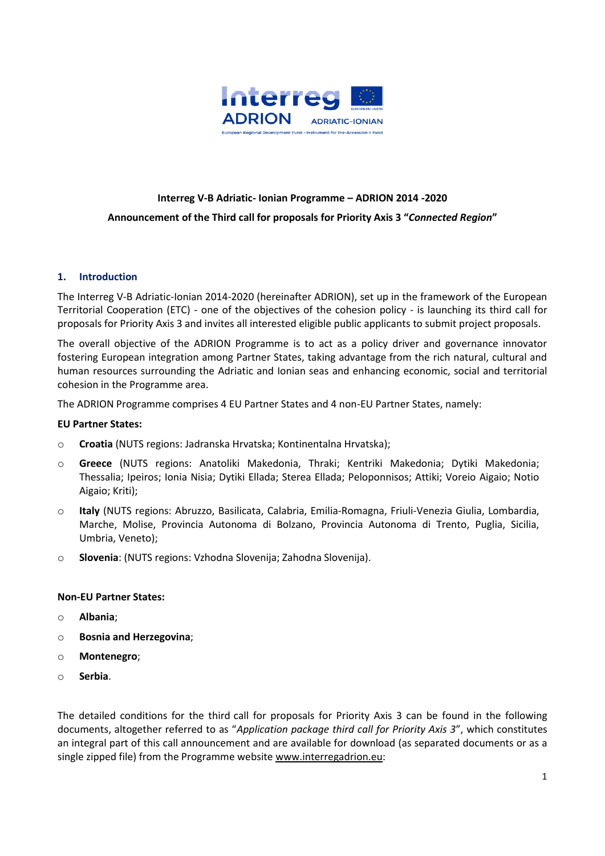

# **Interreg V-B Adriatic- Ionian Programme – ADRION 2014 -2020 Announcement of the Third call for proposals for Priority Axis 3 "***Connected Region***"**

#### **1. Introduction**

The Interreg V-B Adriatic-Ionian 2014-2020 (hereinafter ADRION), set up in the framework of the European Territorial Cooperation (ETC) - one of the objectives of the cohesion policy - is launching its third call for proposals for Priority Axis 3 and invites all interested eligible public applicants to submit project proposals.

The overall objective of the ADRION Programme is to act as a policy driver and governance innovator fostering European integration among Partner States, taking advantage from the rich natural, cultural and human resources surrounding the Adriatic and Ionian seas and enhancing economic, social and territorial cohesion in the Programme area.

The ADRION Programme comprises 4 EU Partner States and 4 non-EU Partner States, namely:

#### **EU Partner States:**

- o **Croatia** (NUTS regions: Jadranska Hrvatska; Kontinentalna Hrvatska);
- o **Greece** (NUTS regions: Anatoliki Makedonia, Thraki; Kentriki Makedonia; Dytiki Makedonia; Thessalia; Ipeiros; Ionia Nisia; Dytiki Ellada; Sterea Ellada; Peloponnisos; Attiki; Voreio Aigaio; Notio Aigaio; Kriti);
- o **Italy** (NUTS regions: Abruzzo, Basilicata, Calabria, Emilia-Romagna, Friuli-Venezia Giulia, Lombardia, Marche, Molise, Provincia Autonoma di Bolzano, Provincia Autonoma di Trento, Puglia, Sicilia, Umbria, Veneto);
- o **Slovenia**: (NUTS regions: Vzhodna Slovenija; Zahodna Slovenija).

#### **Non-EU Partner States:**

- o **Albania**;
- o **Bosnia and Herzegovina**;
- o **Montenegro**;
- o **Serbia**.

The detailed conditions for the third call for proposals for Priority Axis 3 can be found in the following documents, altogether referred to as "*Application package third call for Priority Axis 3*", which constitutes an integral part of this call announcement and are available for download (as separated documents or as a single zipped file) from the Programme website [www.interregadrion.eu:](http://www.interregadrion.eu/)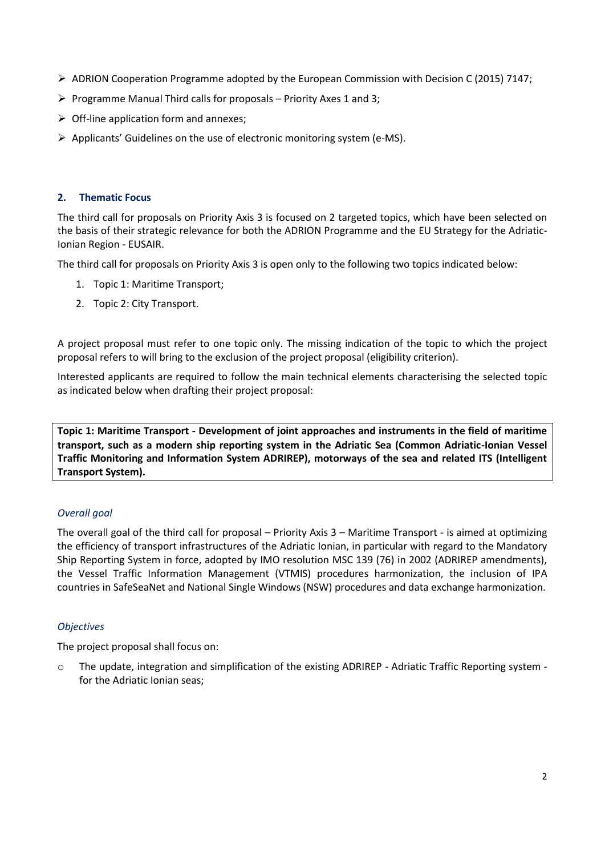- $\triangleright$  ADRION Cooperation Programme adopted by the European Commission with Decision C (2015) 7147;
- $\triangleright$  Programme Manual Third calls for proposals Priority Axes 1 and 3;
- $\triangleright$  Off-line application form and annexes;
- $\triangleright$  Applicants' Guidelines on the use of electronic monitoring system (e-MS).

## **2. Thematic Focus**

The third call for proposals on Priority Axis 3 is focused on 2 targeted topics, which have been selected on the basis of their strategic relevance for both the ADRION Programme and the EU Strategy for the Adriatic-Ionian Region - EUSAIR.

The third call for proposals on Priority Axis 3 is open only to the following two topics indicated below:

- 1. Topic 1: Maritime Transport;
- 2. Topic 2: City Transport.

A project proposal must refer to one topic only. The missing indication of the topic to which the project proposal refers to will bring to the exclusion of the project proposal (eligibility criterion).

Interested applicants are required to follow the main technical elements characterising the selected topic as indicated below when drafting their project proposal:

**Topic 1: Maritime Transport - Development of joint approaches and instruments in the field of maritime transport, such as a modern ship reporting system in the Adriatic Sea (Common Adriatic-Ionian Vessel Traffic Monitoring and Information System ADRIREP), motorways of the sea and related ITS (Intelligent Transport System).** 

# *Overall goal*

The overall goal of the third call for proposal – Priority Axis 3 – Maritime Transport - is aimed at optimizing the efficiency of transport infrastructures of the Adriatic Ionian, in particular with regard to the Mandatory Ship Reporting System in force, adopted by IMO resolution MSC 139 (76) in 2002 (ADRIREP amendments), the Vessel Traffic Information Management (VTMIS) procedures harmonization, the inclusion of IPA countries in SafeSeaNet and National Single Windows (NSW) procedures and data exchange harmonization.

# *Objectives*

The project proposal shall focus on:

o The update, integration and simplification of the existing ADRIREP - Adriatic Traffic Reporting system for the Adriatic Ionian seas;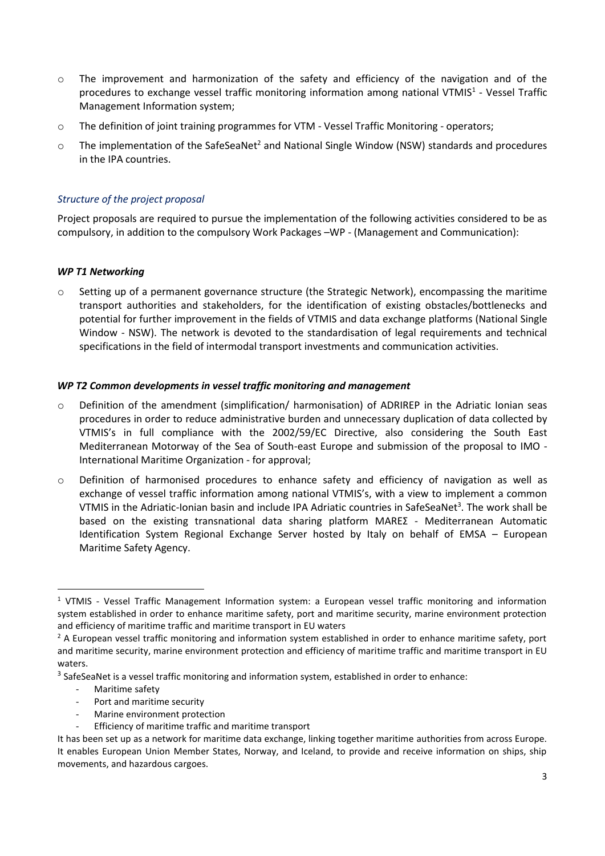- o The improvement and harmonization of the safety and efficiency of the navigation and of the procedures to exchange vessel traffic monitoring information among national VTMIS<sup>1</sup> - Vessel Traffic Management Information system;
- o The definition of joint training programmes for VTM Vessel Traffic Monitoring operators;
- $\circ$  The implementation of the SafeSeaNet<sup>2</sup> and National Single Window (NSW) standards and procedures in the IPA countries.

## *Structure of the project proposal*

Project proposals are required to pursue the implementation of the following activities considered to be as compulsory, in addition to the compulsory Work Packages –WP - (Management and Communication):

#### *WP T1 Networking*

 $\circ$  Setting up of a permanent governance structure (the Strategic Network), encompassing the maritime transport authorities and stakeholders, for the identification of existing obstacles/bottlenecks and potential for further improvement in the fields of VTMIS and data exchange platforms (National Single Window - NSW). The network is devoted to the standardisation of legal requirements and technical specifications in the field of intermodal transport investments and communication activities.

#### *WP T2 Common developments in vessel traffic monitoring and management*

- o Definition of the amendment (simplification/ harmonisation) of ADRIREP in the Adriatic Ionian seas procedures in order to reduce administrative burden and unnecessary duplication of data collected by VTMIS's in full compliance with the 2002/59/EC Directive, also considering the South East Mediterranean Motorway of the Sea of South-east Europe and submission of the proposal to IMO - International Maritime Organization - for approval;
- $\circ$  Definition of harmonised procedures to enhance safety and efficiency of navigation as well as exchange of vessel traffic information among national VTMIS's, with a view to implement a common VTMIS in the Adriatic-Ionian basin and include IPA Adriatic countries in SafeSeaNet<sup>3</sup>. The work shall be based on the existing transnational data sharing platform MAREΣ - Mediterranean Automatic Identification System Regional Exchange Server hosted by Italy on behalf of EMSA – European Maritime Safety Agency.

Maritime safety

**.** 

- Port and maritime security
- Marine environment protection
- Efficiency of maritime traffic and maritime transport

<sup>1</sup> VTMIS - Vessel Traffic Management Information system: a European vessel traffic monitoring and information system established in order to enhance maritime safety, port and maritime security, marine environment protection and efficiency of maritime traffic and maritime transport in EU waters

 $2$  A European vessel traffic monitoring and information system established in order to enhance maritime safety, port and maritime security, marine environment protection and efficiency of maritime traffic and maritime transport in EU waters.

 $3$  SafeSeaNet is a vessel traffic monitoring and information system, established in order to enhance:

It has been set up as a network for maritime data exchange, linking together maritime authorities from across Europe. It enables European Union Member States, Norway, and Iceland, to provide and receive information on ships, ship movements, and hazardous cargoes.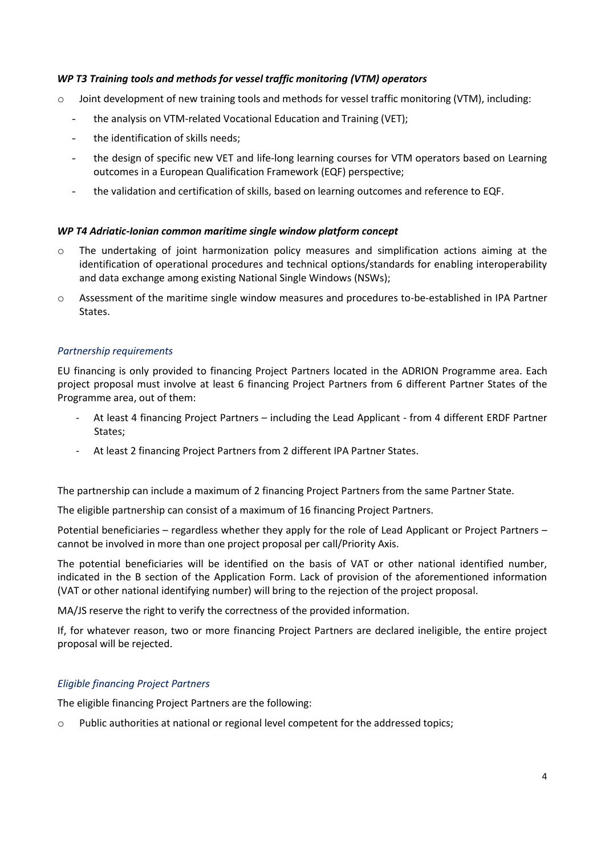## *WP T3 Training tools and methods for vessel traffic monitoring (VTM) operators*

- $\circ$  Joint development of new training tools and methods for vessel traffic monitoring (VTM), including:
	- the analysis on VTM-related Vocational Education and Training (VET);
	- the identification of skills needs;
	- the design of specific new VET and life-long learning courses for VTM operators based on Learning outcomes in a European Qualification Framework (EQF) perspective;
	- the validation and certification of skills, based on learning outcomes and reference to EQF.

#### *WP T4 Adriatic-Ionian common maritime single window platform concept*

- o The undertaking of joint harmonization policy measures and simplification actions aiming at the identification of operational procedures and technical options/standards for enabling interoperability and data exchange among existing National Single Windows (NSWs);
- o Assessment of the maritime single window measures and procedures to-be-established in IPA Partner States.

#### *Partnership requirements*

EU financing is only provided to financing Project Partners located in the ADRION Programme area. Each project proposal must involve at least 6 financing Project Partners from 6 different Partner States of the Programme area, out of them:

- At least 4 financing Project Partners including the Lead Applicant from 4 different ERDF Partner States;
- At least 2 financing Project Partners from 2 different IPA Partner States.

The partnership can include a maximum of 2 financing Project Partners from the same Partner State.

The eligible partnership can consist of a maximum of 16 financing Project Partners.

Potential beneficiaries – regardless whether they apply for the role of Lead Applicant or Project Partners – cannot be involved in more than one project proposal per call/Priority Axis.

The potential beneficiaries will be identified on the basis of VAT or other national identified number, indicated in the B section of the Application Form. Lack of provision of the aforementioned information (VAT or other national identifying number) will bring to the rejection of the project proposal.

MA/JS reserve the right to verify the correctness of the provided information.

If, for whatever reason, two or more financing Project Partners are declared ineligible, the entire project proposal will be rejected.

#### *Eligible financing Project Partners*

The eligible financing Project Partners are the following:

 $\circ$  Public authorities at national or regional level competent for the addressed topics;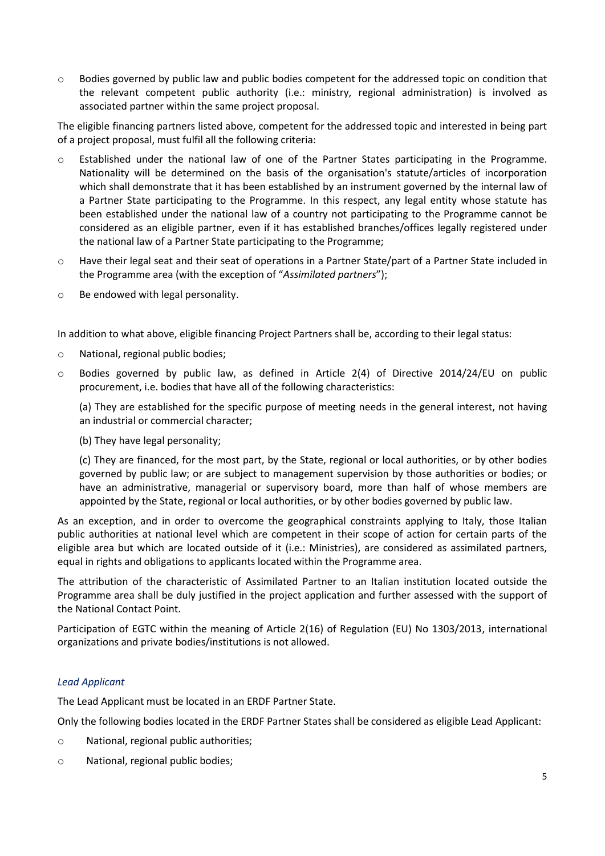o Bodies governed by public law and public bodies competent for the addressed topic on condition that the relevant competent public authority (i.e.: ministry, regional administration) is involved as associated partner within the same project proposal.

The eligible financing partners listed above, competent for the addressed topic and interested in being part of a project proposal, must fulfil all the following criteria:

- o Established under the national law of one of the Partner States participating in the Programme. Nationality will be determined on the basis of the organisation's statute/articles of incorporation which shall demonstrate that it has been established by an instrument governed by the internal law of a Partner State participating to the Programme. In this respect, any legal entity whose statute has been established under the national law of a country not participating to the Programme cannot be considered as an eligible partner, even if it has established branches/offices legally registered under the national law of a Partner State participating to the Programme;
- o Have their legal seat and their seat of operations in a Partner State/part of a Partner State included in the Programme area (with the exception of "*Assimilated partners*");
- o Be endowed with legal personality.

In addition to what above, eligible financing Project Partners shall be, according to their legal status:

- o National, regional public bodies;
- $\circ$  Bodies governed by public law, as defined in Article 2(4) of Directive 2014/24/EU on public procurement, i.e. bodies that have all of the following characteristics:

(a) They are established for the specific purpose of meeting needs in the general interest, not having an industrial or commercial character;

(b) They have legal personality;

(c) They are financed, for the most part, by the State, regional or local authorities, or by other bodies governed by public law; or are subject to management supervision by those authorities or bodies; or have an administrative, managerial or supervisory board, more than half of whose members are appointed by the State, regional or local authorities, or by other bodies governed by public law.

As an exception, and in order to overcome the geographical constraints applying to Italy, those Italian public authorities at national level which are competent in their scope of action for certain parts of the eligible area but which are located outside of it (i.e.: Ministries), are considered as assimilated partners, equal in rights and obligations to applicants located within the Programme area.

The attribution of the characteristic of Assimilated Partner to an Italian institution located outside the Programme area shall be duly justified in the project application and further assessed with the support of the National Contact Point.

Participation of EGTC within the meaning of Article 2(16) of Regulation (EU) No 1303/2013, international organizations and private bodies/institutions is not allowed.

#### *Lead Applicant*

The Lead Applicant must be located in an ERDF Partner State.

Only the following bodies located in the ERDF Partner States shall be considered as eligible Lead Applicant:

- o National, regional public authorities;
- o National, regional public bodies;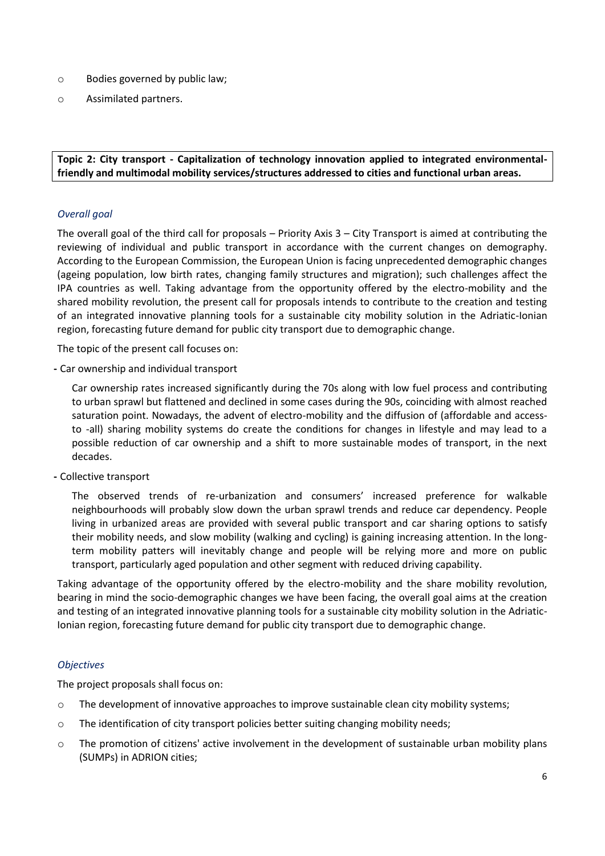- o Bodies governed by public law;
- o Assimilated partners.

**Topic 2: City transport - Capitalization of technology innovation applied to integrated environmentalfriendly and multimodal mobility services/structures addressed to cities and functional urban areas.**

## *Overall goal*

The overall goal of the third call for proposals – Priority Axis 3 – City Transport is aimed at contributing the reviewing of individual and public transport in accordance with the current changes on demography. According to the European Commission, the European Union is facing unprecedented demographic changes (ageing population, low birth rates, changing family structures and migration); such challenges affect the IPA countries as well. Taking advantage from the opportunity offered by the electro-mobility and the shared mobility revolution, the present call for proposals intends to contribute to the creation and testing of an integrated innovative planning tools for a sustainable city mobility solution in the Adriatic-Ionian region, forecasting future demand for public city transport due to demographic change.

The topic of the present call focuses on:

**-** Car ownership and individual transport

Car ownership rates increased significantly during the 70s along with low fuel process and contributing to urban sprawl but flattened and declined in some cases during the 90s, coinciding with almost reached saturation point. Nowadays, the advent of electro-mobility and the diffusion of (affordable and accessto -all) sharing mobility systems do create the conditions for changes in lifestyle and may lead to a possible reduction of car ownership and a shift to more sustainable modes of transport, in the next decades.

**-** Collective transport

The observed trends of re-urbanization and consumers' increased preference for walkable neighbourhoods will probably slow down the urban sprawl trends and reduce car dependency. People living in urbanized areas are provided with several public transport and car sharing options to satisfy their mobility needs, and slow mobility (walking and cycling) is gaining increasing attention. In the longterm mobility patters will inevitably change and people will be relying more and more on public transport, particularly aged population and other segment with reduced driving capability.

Taking advantage of the opportunity offered by the electro-mobility and the share mobility revolution, bearing in mind the socio-demographic changes we have been facing, the overall goal aims at the creation and testing of an integrated innovative planning tools for a sustainable city mobility solution in the Adriatic-Ionian region, forecasting future demand for public city transport due to demographic change.

## *Objectives*

The project proposals shall focus on:

- $\circ$  The development of innovative approaches to improve sustainable clean city mobility systems;
- $\circ$  The identification of city transport policies better suiting changing mobility needs;
- $\circ$  The promotion of citizens' active involvement in the development of sustainable urban mobility plans (SUMPs) in ADRION cities;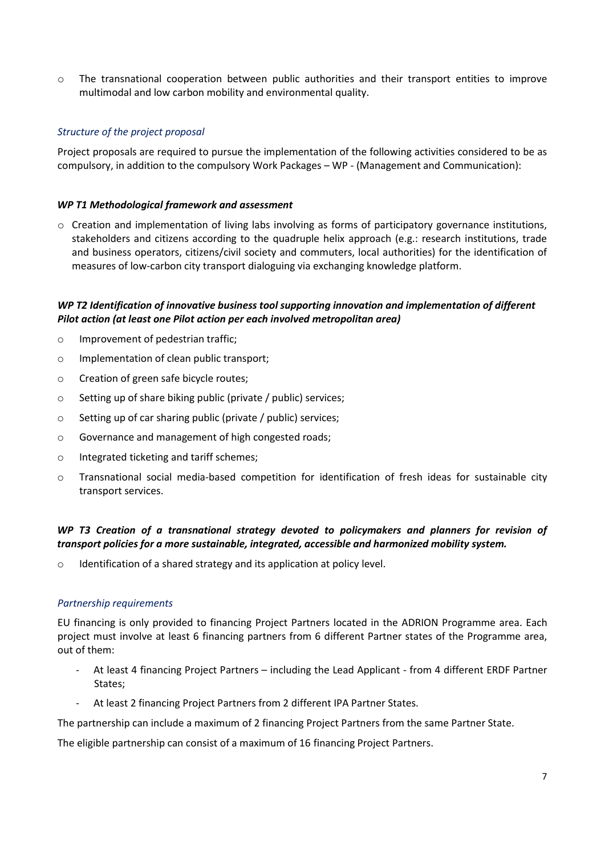o The transnational cooperation between public authorities and their transport entities to improve multimodal and low carbon mobility and environmental quality.

## *Structure of the project proposal*

Project proposals are required to pursue the implementation of the following activities considered to be as compulsory, in addition to the compulsory Work Packages – WP - (Management and Communication):

#### *WP T1 Methodological framework and assessment*

 $\circ$  Creation and implementation of living labs involving as forms of participatory governance institutions, stakeholders and citizens according to the quadruple helix approach (e.g.: research institutions, trade and business operators, citizens/civil society and commuters, local authorities) for the identification of measures of low-carbon city transport dialoguing via exchanging knowledge platform.

## *WP T2 Identification of innovative business tool supporting innovation and implementation of different Pilot action (at least one Pilot action per each involved metropolitan area)*

- o Improvement of pedestrian traffic;
- o Implementation of clean public transport;
- o Creation of green safe bicycle routes;
- o Setting up of share biking public (private / public) services;
- o Setting up of car sharing public (private / public) services;
- o Governance and management of high congested roads;
- o Integrated ticketing and tariff schemes;
- o Transnational social media-based competition for identification of fresh ideas for sustainable city transport services.

# *WP T3 Creation of a transnational strategy devoted to policymakers and planners for revision of transport policies for a more sustainable, integrated, accessible and harmonized mobility system.*

o Identification of a shared strategy and its application at policy level.

#### *Partnership requirements*

EU financing is only provided to financing Project Partners located in the ADRION Programme area. Each project must involve at least 6 financing partners from 6 different Partner states of the Programme area, out of them:

- At least 4 financing Project Partners including the Lead Applicant from 4 different ERDF Partner States;
- At least 2 financing Project Partners from 2 different IPA Partner States.

The partnership can include a maximum of 2 financing Project Partners from the same Partner State.

The eligible partnership can consist of a maximum of 16 financing Project Partners.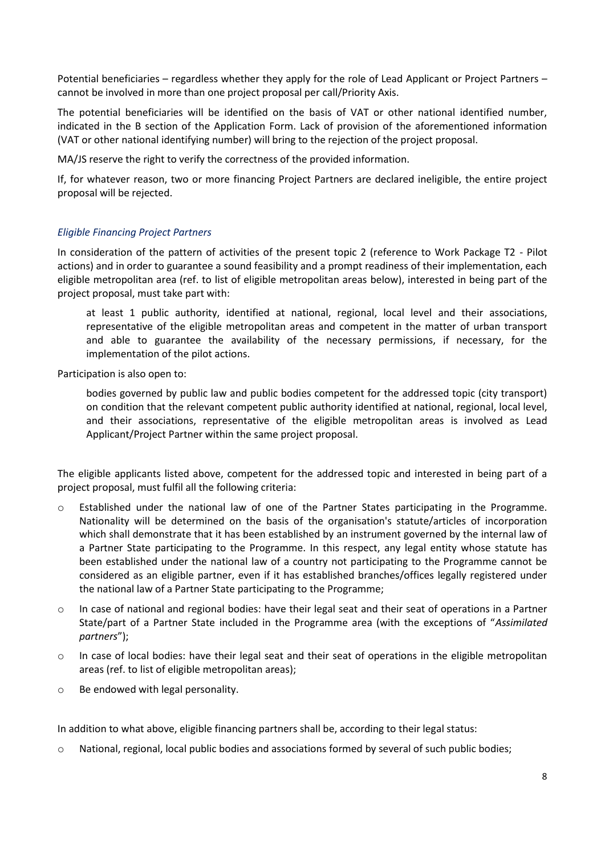Potential beneficiaries – regardless whether they apply for the role of Lead Applicant or Project Partners – cannot be involved in more than one project proposal per call/Priority Axis.

The potential beneficiaries will be identified on the basis of VAT or other national identified number, indicated in the B section of the Application Form. Lack of provision of the aforementioned information (VAT or other national identifying number) will bring to the rejection of the project proposal.

MA/JS reserve the right to verify the correctness of the provided information.

If, for whatever reason, two or more financing Project Partners are declared ineligible, the entire project proposal will be rejected.

#### *Eligible Financing Project Partners*

In consideration of the pattern of activities of the present topic 2 (reference to Work Package T2 - Pilot actions) and in order to guarantee a sound feasibility and a prompt readiness of their implementation, each eligible metropolitan area (ref. to list of eligible metropolitan areas below), interested in being part of the project proposal, must take part with:

at least 1 public authority, identified at national, regional, local level and their associations, representative of the eligible metropolitan areas and competent in the matter of urban transport and able to guarantee the availability of the necessary permissions, if necessary, for the implementation of the pilot actions.

Participation is also open to:

bodies governed by public law and public bodies competent for the addressed topic (city transport) on condition that the relevant competent public authority identified at national, regional, local level, and their associations, representative of the eligible metropolitan areas is involved as Lead Applicant/Project Partner within the same project proposal.

The eligible applicants listed above, competent for the addressed topic and interested in being part of a project proposal, must fulfil all the following criteria:

- $\circ$  Established under the national law of one of the Partner States participating in the Programme. Nationality will be determined on the basis of the organisation's statute/articles of incorporation which shall demonstrate that it has been established by an instrument governed by the internal law of a Partner State participating to the Programme. In this respect, any legal entity whose statute has been established under the national law of a country not participating to the Programme cannot be considered as an eligible partner, even if it has established branches/offices legally registered under the national law of a Partner State participating to the Programme;
- o In case of national and regional bodies: have their legal seat and their seat of operations in a Partner State/part of a Partner State included in the Programme area (with the exceptions of "*Assimilated partners*");
- o In case of local bodies: have their legal seat and their seat of operations in the eligible metropolitan areas (ref. to list of eligible metropolitan areas);
- o Be endowed with legal personality.

In addition to what above, eligible financing partners shall be, according to their legal status:

o National, regional, local public bodies and associations formed by several of such public bodies;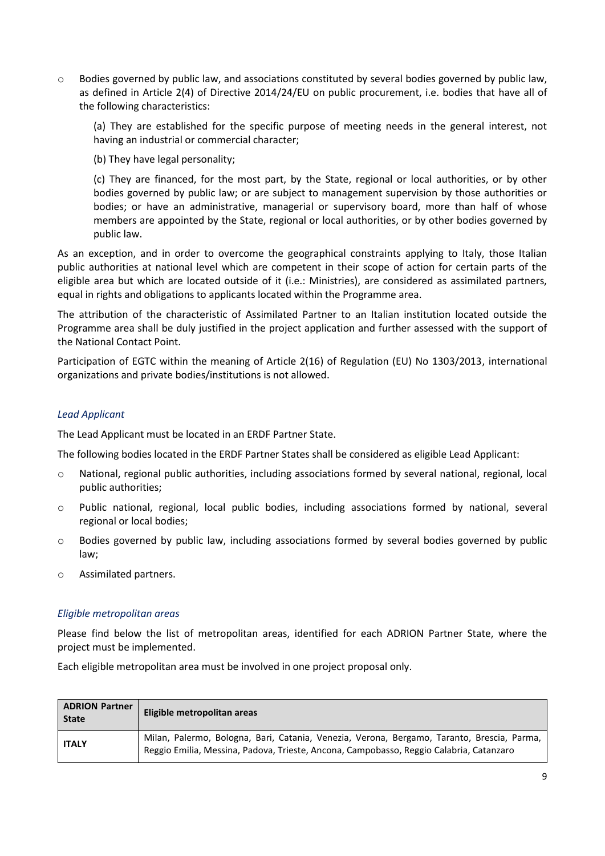$\circ$  Bodies governed by public law, and associations constituted by several bodies governed by public law, as defined in Article 2(4) of Directive 2014/24/EU on public procurement, i.e. bodies that have all of the following characteristics:

(a) They are established for the specific purpose of meeting needs in the general interest, not having an industrial or commercial character;

(b) They have legal personality;

(c) They are financed, for the most part, by the State, regional or local authorities, or by other bodies governed by public law; or are subject to management supervision by those authorities or bodies; or have an administrative, managerial or supervisory board, more than half of whose members are appointed by the State, regional or local authorities, or by other bodies governed by public law.

As an exception, and in order to overcome the geographical constraints applying to Italy, those Italian public authorities at national level which are competent in their scope of action for certain parts of the eligible area but which are located outside of it (i.e.: Ministries), are considered as assimilated partners, equal in rights and obligations to applicants located within the Programme area.

The attribution of the characteristic of Assimilated Partner to an Italian institution located outside the Programme area shall be duly justified in the project application and further assessed with the support of the National Contact Point.

Participation of EGTC within the meaning of Article 2(16) of Regulation (EU) No 1303/2013, international organizations and private bodies/institutions is not allowed.

## *Lead Applicant*

The Lead Applicant must be located in an ERDF Partner State.

The following bodies located in the ERDF Partner States shall be considered as eligible Lead Applicant:

- $\circ$  National, regional public authorities, including associations formed by several national, regional, local public authorities;
- $\circ$  Public national, regional, local public bodies, including associations formed by national, several regional or local bodies;
- o Bodies governed by public law, including associations formed by several bodies governed by public law;
- o Assimilated partners.

#### *Eligible metropolitan areas*

Please find below the list of metropolitan areas, identified for each ADRION Partner State, where the project must be implemented.

Each eligible metropolitan area must be involved in one project proposal only.

| <b>ADRION Partner</b><br><b>State</b> | Eligible metropolitan areas                                                                                                                                                           |
|---------------------------------------|---------------------------------------------------------------------------------------------------------------------------------------------------------------------------------------|
| <b>ITALY</b>                          | Milan, Palermo, Bologna, Bari, Catania, Venezia, Verona, Bergamo, Taranto, Brescia, Parma,<br>Reggio Emilia, Messina, Padova, Trieste, Ancona, Campobasso, Reggio Calabria, Catanzaro |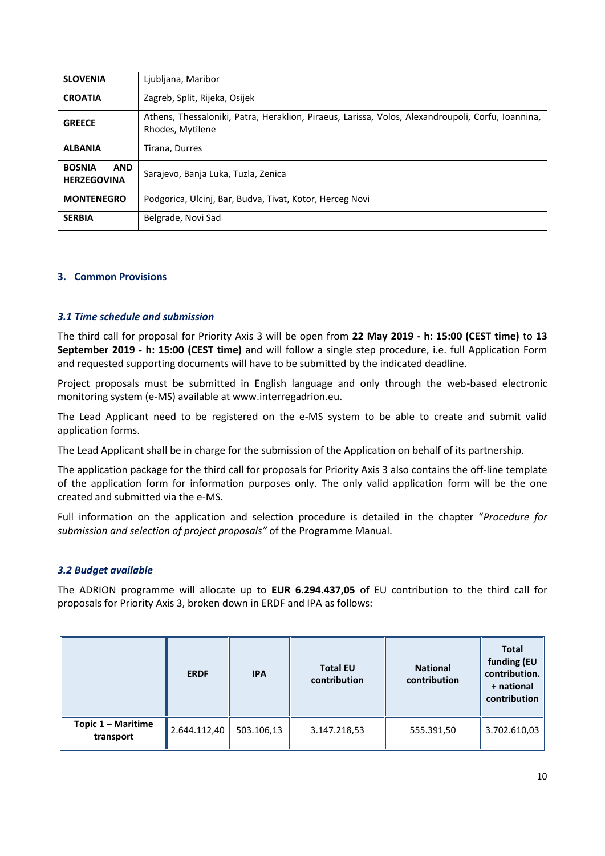| <b>SLOVENIA</b>                                   | Ljubljana, Maribor                                                                                                    |  |  |  |  |  |  |
|---------------------------------------------------|-----------------------------------------------------------------------------------------------------------------------|--|--|--|--|--|--|
| <b>CROATIA</b>                                    | Zagreb, Split, Rijeka, Osijek                                                                                         |  |  |  |  |  |  |
| <b>GREECE</b>                                     | Athens, Thessaloniki, Patra, Heraklion, Piraeus, Larissa, Volos, Alexandroupoli, Corfu, Ioannina,<br>Rhodes, Mytilene |  |  |  |  |  |  |
| <b>ALBANIA</b>                                    | Tirana, Durres                                                                                                        |  |  |  |  |  |  |
| <b>BOSNIA</b><br><b>AND</b><br><b>HERZEGOVINA</b> | Sarajevo, Banja Luka, Tuzla, Zenica                                                                                   |  |  |  |  |  |  |
| <b>MONTENEGRO</b>                                 | Podgorica, Ulcinj, Bar, Budva, Tivat, Kotor, Herceg Novi                                                              |  |  |  |  |  |  |
| <b>SERBIA</b>                                     | Belgrade, Novi Sad                                                                                                    |  |  |  |  |  |  |

## **3. Common Provisions**

#### *3.1 Time schedule and submission*

The third call for proposal for Priority Axis 3 will be open from **22 May 2019 - h: 15:00 (CEST time)** to **13 September 2019 - h: 15:00 (CEST time)** and will follow a single step procedure, i.e. full Application Form and requested supporting documents will have to be submitted by the indicated deadline.

Project proposals must be submitted in English language and only through the web-based electronic monitoring system (e-MS) available at [www.interregadrion.eu.](http://www.interregadrion.eu/)

The Lead Applicant need to be registered on the e-MS system to be able to create and submit valid application forms.

The Lead Applicant shall be in charge for the submission of the Application on behalf of its partnership.

The application package for the third call for proposals for Priority Axis 3 also contains the off-line template of the application form for information purposes only. The only valid application form will be the one created and submitted via the e-MS.

Full information on the application and selection procedure is detailed in the chapter "*Procedure for submission and selection of project proposals"* of the Programme Manual.

#### *3.2 Budget available*

The ADRION programme will allocate up to **EUR 6.294.437,05** of EU contribution to the third call for proposals for Priority Axis 3, broken down in ERDF and IPA as follows:

|                                 | <b>ERDF</b>                  | <b>IPA</b> | <b>Total EU</b><br>contribution | <b>National</b><br>contribution | <b>Total</b><br>funding (EU<br>contribution.<br>+ national<br>contribution |
|---------------------------------|------------------------------|------------|---------------------------------|---------------------------------|----------------------------------------------------------------------------|
| Topic 1 - Maritime<br>transport | $\vert$ 2.644.112,40 $\vert$ | 503.106,13 | 3.147.218,53                    | 555.391,50                      | 3.702.610,03                                                               |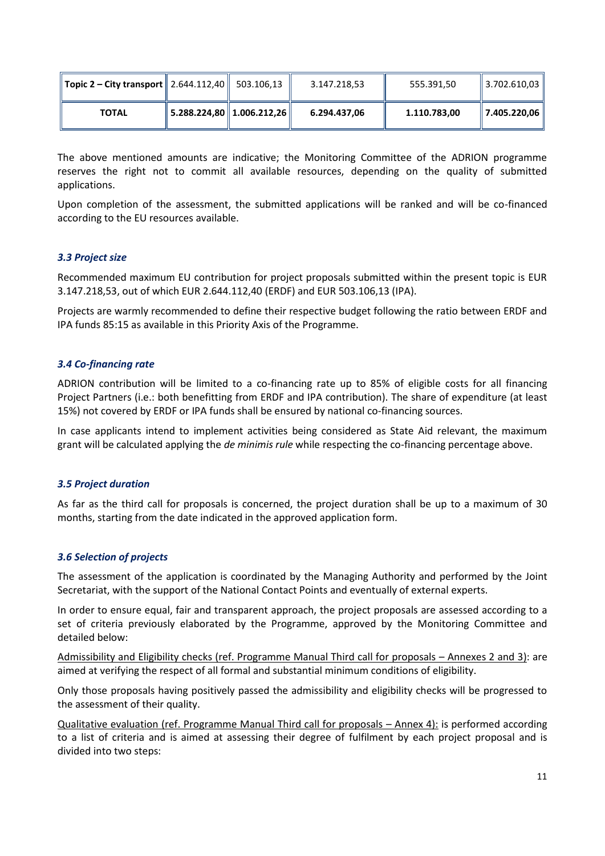| Topic 2 – City transport    2.644.112,40    503.106,13 |                                                        | 3.147.218,53 | 555.391.50   | $\parallel$ 3.702.610,03 |
|--------------------------------------------------------|--------------------------------------------------------|--------------|--------------|--------------------------|
| <b>TOTAL</b>                                           | $\vert$ 5.288.224,80 $\vert$ 1.006.212,26 $\vert\vert$ | 6.294.437,06 | 1.110.783,00 | $\  7.405.220,06 \ $     |

The above mentioned amounts are indicative; the Monitoring Committee of the ADRION programme reserves the right not to commit all available resources, depending on the quality of submitted applications.

Upon completion of the assessment, the submitted applications will be ranked and will be co-financed according to the EU resources available.

## *3.3 Project size*

Recommended maximum EU contribution for project proposals submitted within the present topic is EUR 3.147.218,53, out of which EUR 2.644.112,40 (ERDF) and EUR 503.106,13 (IPA).

Projects are warmly recommended to define their respective budget following the ratio between ERDF and IPA funds 85:15 as available in this Priority Axis of the Programme.

#### *3.4 Co-financing rate*

ADRION contribution will be limited to a co-financing rate up to 85% of eligible costs for all financing Project Partners (i.e.: both benefitting from ERDF and IPA contribution). The share of expenditure (at least 15%) not covered by ERDF or IPA funds shall be ensured by national co-financing sources.

In case applicants intend to implement activities being considered as State Aid relevant, the maximum grant will be calculated applying the *de minimis rule* while respecting the co-financing percentage above.

#### *3.5 Project duration*

As far as the third call for proposals is concerned, the project duration shall be up to a maximum of 30 months, starting from the date indicated in the approved application form.

#### *3.6 Selection of projects*

The assessment of the application is coordinated by the Managing Authority and performed by the Joint Secretariat, with the support of the National Contact Points and eventually of external experts.

In order to ensure equal, fair and transparent approach, the project proposals are assessed according to a set of criteria previously elaborated by the Programme, approved by the Monitoring Committee and detailed below:

Admissibility and Eligibility checks (ref. Programme Manual Third call for proposals – Annexes 2 and 3): are aimed at verifying the respect of all formal and substantial minimum conditions of eligibility.

Only those proposals having positively passed the admissibility and eligibility checks will be progressed to the assessment of their quality.

Qualitative evaluation (ref. Programme Manual Third call for proposals – Annex 4): is performed according to a list of criteria and is aimed at assessing their degree of fulfilment by each project proposal and is divided into two steps: